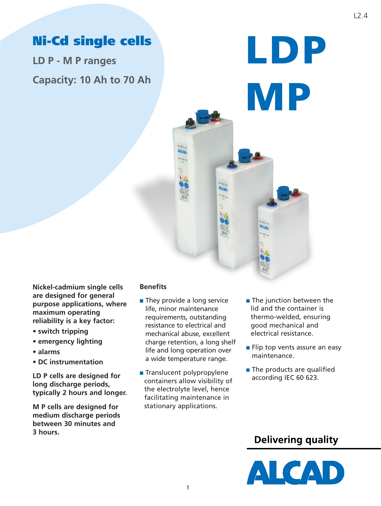# **Ni-Cd single cells**

**LD P - M P ranges Capacity: 10 Ah to 70 Ah**

## **Benefits**

■ They provide a long service life, minor maintenance requirements, outstanding resistance to electrical and mechanical abuse, excellent charge retention, a long shelf life and long operation over a wide temperature range.

Alcan

ALCAD

- Translucent polypropylene containers allow visibility of the electrolyte level, hence facilitating maintenance in stationary applications.
- The junction between the lid and the container is thermo-welded, ensuring good mechanical and electrical resistance.

**LDP**

**MP**

**ALCAD** 

- Flip top vents assure an easy maintenance.
- The products are qualified according IEC 60 623.

## **Delivering quality**



**Nickel-cadmium single cells are designed for general purpose applications, where maximum operating reliability is a key factor:** 

- **switch tripping**
- **emergency lighting**
- **alarms**
- **DC instrumentation**

**LD P cells are designed for long discharge periods, typically 2 hours and longer.**

**M P cells are designed for medium discharge periods between 30 minutes and 3 hours.**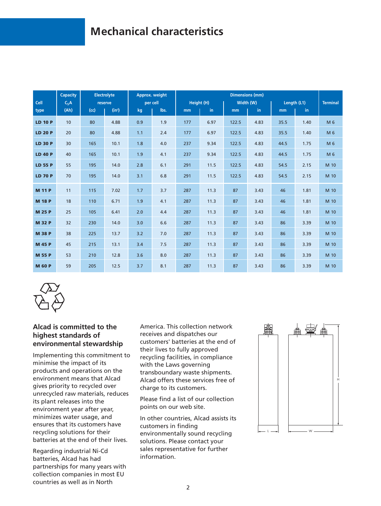# **Mechanical characteristics**

|                | Capacity |      | <b>Electrolyte</b> |     | Approx. weight |     |            | <b>Dimensions (mm)</b> |           |      |             |                 |
|----------------|----------|------|--------------------|-----|----------------|-----|------------|------------------------|-----------|------|-------------|-----------------|
| Cell           | $C_5A$   |      | reserve            |     | per cell       |     | Height (H) |                        | Width (W) |      | Length (L1) | <b>Terminal</b> |
| type           | (Ah)     | (cc) | $(in^3)$           | kg  | lbs.           | mm  | in.        | mm                     | in.       | mm   | in.         |                 |
| <b>LD 10 P</b> | 10       | 80   | 4.88               | 0.9 | 1.9            | 177 | 6.97       | 122.5                  | 4.83      | 35.5 | 1.40        | M 6             |
| <b>LD 20 P</b> | 20       | 80   | 4.88               | 1.1 | 2.4            | 177 | 6.97       | 122.5                  | 4.83      | 35.5 | 1.40        | M 6             |
| <b>LD 30 P</b> | 30       | 165  | 10.1               | 1.8 | 4.0            | 237 | 9.34       | 122.5                  | 4.83      | 44.5 | 1.75        | M 6             |
| <b>LD 40 P</b> | 40       | 165  | 10.1               | 1.9 | 4.1            | 237 | 9.34       | 122.5                  | 4.83      | 44.5 | 1.75        | M 6             |
| <b>LD 55 P</b> | 55       | 195  | 14.0               | 2.8 | 6.1            | 291 | 11.5       | 122.5                  | 4.83      | 54.5 | 2.15        | M 10            |
| <b>LD 70 P</b> | 70       | 195  | 14.0               | 3.1 | 6.8            | 291 | 11.5       | 122.5                  | 4.83      | 54.5 | 2.15        | M 10            |
| <b>M 11 P</b>  | 11       | 115  | 7.02               | 1.7 | 3.7            | 287 | 11.3       | 87                     | 3.43      | 46   | 1.81        | M 10            |
| <b>M 18 P</b>  | 18       | 110  | 6.71               | 1.9 | 4.1            | 287 | 11.3       | 87                     | 3.43      | 46   | 1.81        | M 10            |
| <b>M 25 P</b>  | 25       | 105  | 6.41               | 2.0 | 4.4            | 287 | 11.3       | 87                     | 3.43      | 46   | 1.81        | M 10            |
| <b>M 32 P</b>  | 32       | 230  | 14.0               | 3.0 | 6.6            | 287 | 11.3       | 87                     | 3.43      | 86   | 3.39        | M 10            |
| <b>M 38 P</b>  | 38       | 225  | 13.7               | 3.2 | 7.0            | 287 | 11.3       | 87                     | 3.43      | 86   | 3.39        | M 10            |
| <b>M 45 P</b>  | 45       | 215  | 13.1               | 3.4 | 7.5            | 287 | 11.3       | 87                     | 3.43      | 86   | 3.39        | M 10            |
| <b>M 55 P</b>  | 53       | 210  | 12.8               | 3.6 | 8.0            | 287 | 11.3       | 87                     | 3.43      | 86   | 3.39        | M 10            |
| <b>M 60 P</b>  | 59       | 205  | 12.5               | 3.7 | 8.1            | 287 | 11.3       | 87                     | 3.43      | 86   | 3.39        | M 10            |



## **Alcad is committed to the highest standards of environmental stewardship**

Implementing this commitment to minimise the impact of its products and operations on the environment means that Alcad gives priority to recycled over unrecycled raw materials, reduces its plant releases into the environment year after year, minimizes water usage, and ensures that its customers have recycling solutions for their batteries at the end of their lives.

Regarding industrial Ni-Cd batteries, Alcad has had partnerships for many years with collection companies in most EU countries as well as in North

America. This collection network receives and dispatches our customers' batteries at the end of their lives to fully approved recycling facilities, in compliance with the Laws governing transboundary waste shipments. Alcad offers these services free of charge to its customers.

Please find a list of our collection points on our web site.

In other countries, Alcad assists its customers in finding environmentally sound recycling solutions. Please contact your sales representative for further information.

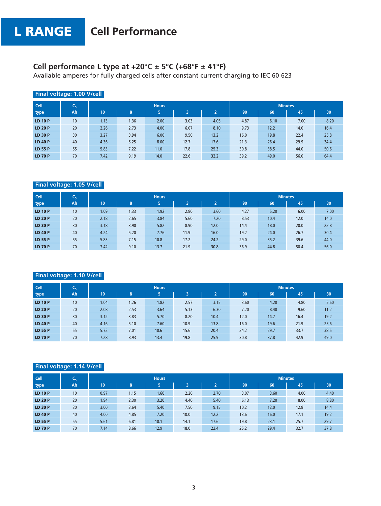## **Cell performance L type at +20°C ± 5°C (+68°F ± 41°F)**

Available amperes for fully charged cells after constant current charging to IEC 60 623

|                | Final voltage: 1.00 V/cell |      |      |              |      |                |      |      |                |      |
|----------------|----------------------------|------|------|--------------|------|----------------|------|------|----------------|------|
| <b>Cell</b>    | C <sub>5</sub>             |      |      | <b>Hours</b> |      |                |      |      | <b>Minutes</b> |      |
| type           | Ah                         | 10   | 8    | 5            | в    | $\overline{2}$ | 90   | 60   | 45             | 30   |
| <b>LD 10 P</b> | 10                         | 1.13 | 1.36 | 2.00         | 3.03 | 4.05           | 4.87 | 6.10 | 7.00           | 8.20 |
| <b>LD 20 P</b> | 20                         | 2.26 | 2.73 | 4.00         | 6.07 | 8.10           | 9.73 | 12.2 | 14.0           | 16.4 |
| <b>LD 30 P</b> | 30                         | 3.27 | 3.94 | 6.00         | 9.50 | 13.2           | 16.0 | 19.8 | 22.4           | 25.8 |
| <b>LD 40 P</b> | 40                         | 4.36 | 5.25 | 8.00         | 12.7 | 17.6           | 21.3 | 26.4 | 29.9           | 34.4 |
| <b>LD 55 P</b> | 55                         | 5.83 | 7.22 | 11.0         | 17.8 | 25.3           | 30.8 | 38.5 | 44.0           | 50.6 |
| <b>LD 70 P</b> | 70                         | 7.42 | 9.19 | 14.0         | 22.6 | 32.2           | 39.2 | 49.0 | 56.0           | 64.4 |

## **Final voltage: 1.05 V/cell**

| <b>Cell</b>    | ւ <sub>5</sub> |      |      | <b>Hours</b> |      |                |      |      | <b>Minutes</b> |      |
|----------------|----------------|------|------|--------------|------|----------------|------|------|----------------|------|
| type           | Ah             | 10   | 8    | 5            | з    | $\overline{2}$ | 90   | 60   | 45             | 30   |
| <b>LD 10 P</b> | 10             | 1.09 | 1.33 | 1.92         | 2.80 | 3.60           | 4.27 | 5.20 | 6.00           | 7.00 |
| <b>LD 20 P</b> | 20             | 2.18 | 2.65 | 3.84         | 5.60 | 7.20           | 8.53 | 10.4 | 12.0           | 14.0 |
| <b>LD 30 P</b> | 30             | 3.18 | 3.90 | 5.82         | 8.90 | 12.0           | 14.4 | 18.0 | 20.0           | 22.8 |
| <b>LD 40 P</b> | 40             | 4.24 | 5.20 | 7.76         | 11.9 | 16.0           | 19.2 | 24.0 | 26.7           | 30.4 |
| LD 55 P        | 55             | 5.83 | 7.15 | 10.8         | 17.2 | 24.2           | 29.0 | 35.2 | 39.6           | 44.0 |
| <b>LD 70 P</b> | 70             | 7.42 | 9.10 | 13.7         | 21.9 | 30.8           | 36.9 | 44.8 | 50.4           | 56.0 |

### **Final voltage: 1.10 V/cell**

| <b>Cell</b>    | $C_5$ |      |      | <b>Hours</b> |      |                |      |      | <b>Minutes</b> |      |
|----------------|-------|------|------|--------------|------|----------------|------|------|----------------|------|
| type           | Ah    | 10   | 8    | 5            | 3    | $\overline{2}$ | 90   | 60   | 45             | 30   |
| <b>LD 10 P</b> | 10    | 1.04 | 1.26 | 1.82         | 2.57 | 3.15           | 3.60 | 4.20 | 4.80           | 5.60 |
| <b>LD 20 P</b> | 20    | 2.08 | 2.53 | 3.64         | 5.13 | 6.30           | 7.20 | 8.40 | 9.60           | 11.2 |
| <b>LD 30 P</b> | 30    | 3.12 | 3.83 | 5.70         | 8.20 | 10.4           | 12.0 | 14.7 | 16.4           | 19.2 |
| <b>LD 40 P</b> | 40    | 4.16 | 5.10 | 7.60         | 10.9 | 13.8           | 16.0 | 19.6 | 21.9           | 25.6 |
| LD 55 P        | 55    | 5.72 | 7.01 | 10.6         | 15.6 | 20.4           | 24.2 | 29.7 | 33.7           | 38.5 |
| <b>LD 70 P</b> | 70    | 7.28 | 8.93 | 13.4         | 19.8 | 25.9           | 30.8 | 37.8 | 42.9           | 49.0 |

### **Final voltage: 1.14 V/cell**

| <b>Cell</b>    | ιC <sub>5</sub> |      |      | <b>Hours</b> |      |                |      |      | <b>Minutes</b> |      |
|----------------|-----------------|------|------|--------------|------|----------------|------|------|----------------|------|
| type           | Ah              | 10   | 8    | 5            | 3    | $\overline{2}$ | 90   | 60   | 45             | 30   |
| <b>LD 10 P</b> | 10 <sup>°</sup> | 0.97 | 1.15 | 1.60         | 2.20 | 2.70           | 3.07 | 3.60 | 4.00           | 4.40 |
| <b>LD 20 P</b> | 20              | 1.94 | 2.30 | 3.20         | 4.40 | 5.40           | 6.13 | 7.20 | 8.00           | 8.80 |
| <b>LD 30 P</b> | 30 <sup>°</sup> | 3.00 | 3.64 | 5.40         | 7.50 | 9.15           | 10.2 | 12.0 | 12.8           | 14.4 |
| <b>LD 40 P</b> | 40              | 4.00 | 4.85 | 7.20         | 10.0 | 12.2           | 13.6 | 16.0 | 17.1           | 19.2 |
| LD 55 P        | 55              | 5.61 | 6.81 | 10.1         | 14.1 | 17.6           | 19.8 | 23.1 | 25.7           | 29.7 |
| <b>LD 70 P</b> | 70              | 7.14 | 8.66 | 12.9         | 18.0 | 22.4           | 25.2 | 29.4 | 32.7           | 37.8 |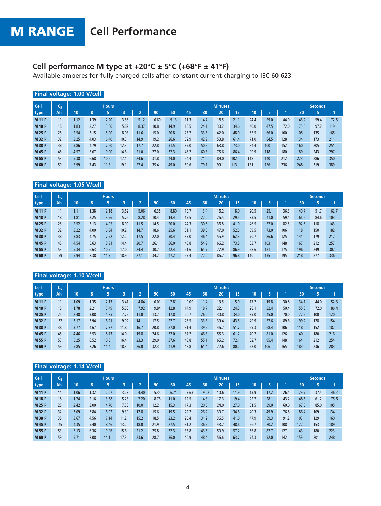## **Cell performance M type at +20°C ± 5°C (+68°F ± 41°F)**

Available amperes for fully charged cells after constant current charging to IEC 60 623

| Final voltage: 1.00 V/cell |              |      |      |              |      |      |      |      |      |      |                |      |      |      |      |      |                |      |
|----------------------------|--------------|------|------|--------------|------|------|------|------|------|------|----------------|------|------|------|------|------|----------------|------|
| Cell                       | ≂<br>$C_{5}$ |      |      | <b>Hours</b> |      |      |      |      |      |      | <b>Minutes</b> |      |      |      |      |      | <b>Seconds</b> |      |
| type                       | Ah           | 10   | 8    | 5            | з    | n    | 90   | 60   | 45   | 30   | 20             | 15   | 10   | 5    |      | 30   |                |      |
| <b>M11P</b>                | 11           | 1.12 | 1.39 | 2.20         | 3.56 | 5.12 | 6.60 | 9.13 | 11.3 | 14.7 | 18.5           | 21.1 | 24.4 | 29.0 | 44.0 | 46.2 | 59.4           | 72.6 |
| <b>M18P</b>                | 18           | 1.83 | 2.27 | 3.60         | 5.82 | 8.37 | 10.8 | 14.9 | 18.5 | 24.1 | 30.2           | 34.6 | 40.0 | 47.5 | 72.0 | 75.6 | 97.2           | 119  |
| <b>M 25 P</b>              | 25           | 2.54 | 3.15 | 5.00         | 8.08 | 11.6 | 15.0 | 20.8 | 25.7 | 33.5 | 42.0           | 48.0 | 55.5 | 66.0 | 100  | 105  | 135            | 165  |
| <b>M 32 P</b>              | 32           | 3.25 | 4.03 | 6.40         | 10.3 | 14.9 | 19.2 | 26.6 | 32.9 | 42.9 | 53.8           | 61.4 | 71.0 | 84.5 | 128  | 134  | 173            | 211  |
| <b>M 38 P</b>              | 38           | 3.86 | 4.79 | 7.60         | 12.3 | 17.7 | 22.8 | 31.5 | 39.0 | 50.9 | 63.8           | 73.0 | 84.4 | 100  | 152  | 160  | 205            | 251  |
| <b>M45P</b>                | 45           | 4.57 | 5.67 | 9.00         | 14.6 | 21.0 | 27.0 | 37.3 | 46.2 | 60.3 | 75.6           | 86.4 | 99.9 | 118  | 180  | 189  | 243            | 297  |
| <b>M 55 P</b>              | 53           | 5.38 | 6.68 | 10.6         | 17.1 | 24.6 | 31.8 | 44.0 | 54.4 | 71.0 | 89.0           | 102  | 118  | 140  | 212  | 223  | 286            | 350  |
| <b>M 60 P</b>              | 59           | 5.99 | 7.43 | 11.8         | 19.1 | 27.4 | 35.4 | 49.0 | 60.6 | 79.1 | 99.1           | 113  | 131  | 156  | 236  | 248  | 319            | 389  |

### **Final voltage: 1.05 V/cell**

| <b>Cell</b>   | ≂<br>֊ϛ |      |      | <b>Hours</b> |      |      |      |      |      |      | <b>Minutes</b> |      |      |      |      |      | <b>Seconds</b> |      |
|---------------|---------|------|------|--------------|------|------|------|------|------|------|----------------|------|------|------|------|------|----------------|------|
| type          | Ah      | 10   | 8    |              |      |      | 90   | 60   | 45   | 30   | 20             | 15   | 10   |      |      | 30   |                |      |
| <b>M11P</b>   | 11      | 1.11 | 1.38 | 2.18         | 3.52 | 5.06 | 6.38 | 8.80 | 10.7 | 13.4 | 16.2           | 18.0 | 20.5 | 25.1 | 36.3 | 40.7 | 51.7           | 62.7 |
| <b>M 18 P</b> | 18      | 1.81 | 2.25 | 3.56         | 5.76 | 8.28 | 10.4 | 14.4 | 17.5 | 22.0 | 26.5           | 29.5 | 33.5 | 41.0 | 59.4 | 66.6 | 84.6           | 103  |
| <b>M 25 P</b> | 25      | 2.52 | 3.13 | 4.95         | 8.00 | 11.5 | 14.5 | 20.0 | 24.3 | 30.5 | 36.8           | 41.0 | 46.5 | 57.0 | 82.5 | 92.5 | 118            | 143  |
| <b>M 32 P</b> | 32      | 3.22 | 4.00 | 6.34         | 10.2 | 14.7 | 18.6 | 25.6 | 31.1 | 39.0 | 47.0           | 52.5 | 59.5 | 73.0 | 106  | 118  | 150            | 182  |
| <b>M 38 P</b> | 38      | 3.83 | 4.75 | 7.52         | 12.2 | 17.5 | 22.0 | 30.4 | 37.0 | 46.4 | 55.9           | 62.3 | 70.7 | 86.6 | 125  | 141  | 179            | 217  |
| <b>M45P</b>   | 45      | 4.54 | 5.63 | 8.91         | 14.4 | 20.7 | 26.1 | 36.0 | 43.8 | 54.9 | 66.2           | 73.8 | 83.7 | 103  | 148  | 167  | 212            | 257  |
| <b>M 55 P</b> | 53      | 5.34 | 6.63 | 10.5         | 17.0 | 24.4 | 30.7 | 42.4 | 51.6 | 64.7 | 77.9           | 86.9 | 98.6 | 121  | 175  | 196  | 249            | 302  |
| <b>M 60 P</b> | 59      | 5.94 | 7.38 | 11.7         | 18.9 | 27.1 | 34.2 | 47.2 | 57.4 | 72.0 | 86.7           | 96.8 | 110  | 135  | 195  | 218  | 277            | 336  |

### **Final voltage: 1.10 V/cell**

| <b>Cell</b>   | ۰<br>֊ҕ |      |      | <b>Hours</b> |      |      |      |      |      |      | <b>Minutes</b> |      |      |      |      |      | <b>Seconds</b> |      |
|---------------|---------|------|------|--------------|------|------|------|------|------|------|----------------|------|------|------|------|------|----------------|------|
| type          | Ah.     | 10   | 8    |              |      |      | 90   | 60   | 45   | 30   | 20             | 15   | 10   |      |      | 30   |                |      |
| <b>M11P</b>   | 11      | 1.09 | 1.35 | 2.13         | 3.41 | 4.84 | 6.01 | 7.81 | 9.09 | 11.4 | 13.5           | 15.0 | 17.2 | 19.8 | 30.8 | 34.1 | 44.0           | 52.8 |
| <b>M18P</b>   | 18      | 1.78 | 2.21 | 3.49         | 5.58 | 7.92 | 9.84 | 12.8 | 14.9 | 18.7 | 22.1           | 24.5 | 28.1 | 32.4 | 50.4 | 55.8 | 72.0           | 86.4 |
| <b>M 25 P</b> | 25      | 2.48 | 3.08 | 4.85         | 7.75 | 11.0 | 13.7 | 17.8 | 20.7 | 26.0 | 30.8           | 34.0 | 39.0 | 45.0 | 70.0 | 77.5 | 100            | 120  |
| <b>M 32 P</b> | 32      | 3.17 | 3.94 | 6.21         | 9.92 | 14.  | 17.5 | 22.7 | 26.5 | 33.3 | 39.4           | 43.5 | 49.9 | 57.6 | 89.6 | 99.2 | 128            | 154  |
| <b>M 38 P</b> | 38      | 3.77 | 4.67 | 7.37         | 11.8 | 16.7 | 20.8 | 27.0 | 31.4 | 39.5 | 46.7           | 51.7 | 59.3 | 68.4 | 106  | 118  | 152            | 182  |
| <b>M45P</b>   | 45      | 4.46 | 5.53 | 8.73         | 14.0 | 19.8 | 24.6 | 32.0 | 37.2 | 46.8 | 55.3           | 61.2 | 70.2 | 81.0 | 126  | 140  | 180            | 216  |
| <b>M 55 P</b> | 53      | 5.25 | 6.52 | 10.3         | 16.4 | 23.3 | 29.0 | 37.6 | 43.8 | 55.1 | 65.2           | 72.1 | 82.7 | 95.4 | 148  | 164  | 212            | 254  |
| <b>M 60 P</b> | 59      | 5.85 | 7.26 | 11.4         | 18.3 | 26.0 | 32.3 | 41.9 | 48.8 | 61.4 | 72.6           | 80.2 | 92.0 | 106  | 165  | 183  | 236            | 283  |

## **Final voltage: 1.14 V/cell**

| <b>Cell</b>   | ֊ҕ |      |      | Hours. |      |      |      |      |      |      | <b>Minutes</b> |      |      |      |      |      | <b>Seconds</b> |      |
|---------------|----|------|------|--------|------|------|------|------|------|------|----------------|------|------|------|------|------|----------------|------|
| type          | Ah | 10   | 8    |        |      |      | 90   | 60   | 45   | 30   | 20             | 15   | 10   |      |      | 30   |                |      |
| <b>M11P</b>   | 11 | 1.06 | 1.32 | 2.07   | 3.23 | 4.40 | 5.35 | 6.71 | 7.63 | 9.02 | 10.6           | 11.9 | 13.9 | 17.2 | 26.4 | 29.7 | 37.4           | 46.2 |
| <b>M18P</b>   | 18 | 1.74 | 2.16 | 3.38   | 5.28 | 7.20 | 8.76 | 11.0 | 12.5 | 14.8 | 17.3           | 19.4 | 22.7 | 28.1 | 43.2 | 48.6 | 61.2           | 75.6 |
| <b>M 25 P</b> | 25 | 2.42 | 3.00 | 4.70   | 7.33 | 10.0 | 12.2 | 15.3 | 17.3 | 20.5 | 24.0           | 27.0 | 31.5 | 39.0 | 60.0 | 67.5 | 85.0           | 105  |
| <b>M 32 P</b> | 32 | 3.09 | 3.84 | 6.02   | 9.39 | 12.8 | 15.6 | 19.5 | 22.2 | 26.2 | 30.7           | 34.6 | 40.3 | 49.9 | 76.8 | 86.4 | 109            | 134  |
| <b>M 38 P</b> | 38 | 3.67 | 4.56 | 7.14   | 11.2 | 15.2 | 18.5 | 23.2 | 26.4 | 31.2 | 36.5           | 41.0 | 47.9 | 59.3 | 91.2 | 103  | 129            | 160  |
| <b>M45P</b>   | 45 | 4.35 | 5.40 | 8.46   | 13.2 | 18.0 | 21.9 | 27.5 | 31.2 | 36.9 | 43.2           | 48.6 | 56.7 | 70.2 | 108  | 122  | 153            | 189  |
| <b>M 55 P</b> | 53 | 5.13 | 6.36 | 9.96   | 15.6 | 21.2 | 25.8 | 32.3 | 36.8 | 43.5 | 50.9           | 57.2 | 66.8 | 82.7 | 127  | 143  | 180            | 223  |
| <b>M 60 P</b> | 59 | 5.71 | 7.08 | 11.1   | 17.3 | 23.6 | 28.7 | 36.0 | 40.9 | 48.4 | 56.6           | 63.7 | 74.3 | 92.0 | 142  | 159  | 201            | 248  |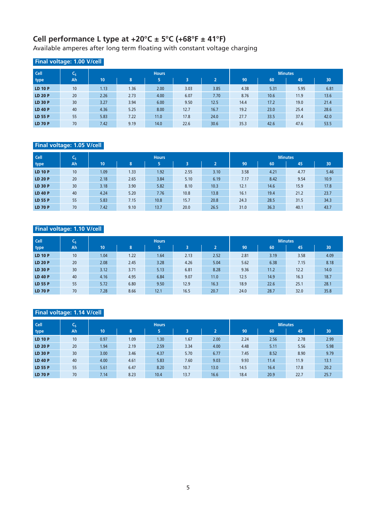## **Cell performance L type at +20°C ± 5°C (+68°F ± 41°F)**

Available amperes after long term floating with constant voltage charging

## **Final voltage: 1.00 V/cell**

| <b>Cell</b>    | C5              |      |      | <b>Hours</b> |      |                |      |      | <b>Minutes</b> |      |
|----------------|-----------------|------|------|--------------|------|----------------|------|------|----------------|------|
| type           | Ah              | 10   | 8    | 5            | 3    | $\overline{a}$ | 90   | 60   | 45             | 30   |
| <b>LD 10 P</b> | 10              | 1.13 | 1.36 | 2.00         | 3.03 | 3.85           | 4.38 | 5.31 | 5.95           | 6.81 |
| <b>LD 20 P</b> | 20              | 2.26 | 2.73 | 4.00         | 6.07 | 7.70           | 8.76 | 10.6 | 11.9           | 13.6 |
| <b>LD 30 P</b> | 30 <sup>°</sup> | 3.27 | 3.94 | 6.00         | 9.50 | 12.5           | 14.4 | 17.2 | 19.0           | 21.4 |
| <b>LD 40 P</b> | 40              | 4.36 | 5.25 | 8.00         | 12.7 | 16.7           | 19.2 | 23.0 | 25.4           | 28.6 |
| LD 55 P        | 55              | 5.83 | 7.22 | 11.0         | 17.8 | 24.0           | 27.7 | 33.5 | 37.4           | 42.0 |
| <b>LD 70 P</b> | 70              | 7.42 | 9.19 | 14.0         | 22.6 | 30.6           | 35.3 | 42.6 | 47.6           | 53.5 |

## **Final voltage: 1.05 V/cell**

| <b>Cell</b>    | ιC <sub>5</sub> |      |      | <b>Hours</b> |      |                |      | <b>Minutes</b> |      |      |
|----------------|-----------------|------|------|--------------|------|----------------|------|----------------|------|------|
| type           | Ah              | 10   | 8    | 5            | 3    | $\overline{2}$ | 90   | 60             | 45   | 30   |
| <b>LD 10 P</b> | 10 <sup>°</sup> | 1.09 | 1.33 | 1.92         | 2.55 | 3.10           | 3.58 | 4.21           | 4.77 | 5.46 |
| <b>LD 20 P</b> | 20              | 2.18 | 2.65 | 3.84         | 5.10 | 6.19           | 7.17 | 8.42           | 9.54 | 10.9 |
| <b>LD 30 P</b> | 30 <sup>°</sup> | 3.18 | 3.90 | 5.82         | 8.10 | 10.3           | 12.1 | 14.6           | 15.9 | 17.8 |
| <b>LD 40 P</b> | 40              | 4.24 | 5.20 | 7.76         | 10.8 | 13.8           | 16.1 | 19.4           | 21.2 | 23.7 |
| <b>LD 55 P</b> | 55              | 5.83 | 7.15 | 10.8         | 15.7 | 20.8           | 24.3 | 28.5           | 31.5 | 34.3 |
| <b>LD 70 P</b> | 70              | 7.42 | 9.10 | 13.7         | 20.0 | 26.5           | 31.0 | 36.3           | 40.1 | 43.7 |

## **Final voltage: 1.10 V/cell**

| <b>Cell</b>    | $C_{5}$ |      |      | <b>Hours</b> |      |                |      | <b>Minutes</b> |      |      |
|----------------|---------|------|------|--------------|------|----------------|------|----------------|------|------|
| type           | Ah      | 10   | 8    | 5            | 3    | $\overline{2}$ | 90   | 60             | 45   | 30   |
| <b>LD 10 P</b> | 10      | 1.04 | 1.22 | 1.64         | 2.13 | 2.52           | 2.81 | 3.19           | 3.58 | 4.09 |
| <b>LD 20 P</b> | 20      | 2.08 | 2.45 | 3.28         | 4.26 | 5.04           | 5.62 | 6.38           | 7.15 | 8.18 |
| <b>LD 30 P</b> | 30      | 3.12 | 3.71 | 5.13         | 6.81 | 8.28           | 9.36 | 11.2           | 12.2 | 14.0 |
| <b>LD 40 P</b> | 40      | 4.16 | 4.95 | 6.84         | 9.07 | 11.0           | 12.5 | 14.9           | 16.3 | 18.7 |
| <b>LD 55 P</b> | 55      | 5.72 | 6.80 | 9.50         | 12.9 | 16.3           | 18.9 | 22.6           | 25.1 | 28.1 |
| <b>LD 70 P</b> | 70      | 7.28 | 8.66 | 12.1         | 16.5 | 20.7           | 24.0 | 28.7           | 32.0 | 35.8 |

## **Final voltage: 1.14 V/cell**

| <b>Cell</b>    | $C_{5}$ |      |      | <b>Hours</b> |      | <b>Minutes</b> |      |      |      |      |  |  |  |
|----------------|---------|------|------|--------------|------|----------------|------|------|------|------|--|--|--|
| type           | Ah      | 10   | 8    | 5            | 3    | $\overline{2}$ | 90   | 60   | 45   | 30   |  |  |  |
| <b>LD 10 P</b> | 10      | 0.97 | 1.09 | 1.30         | 1.67 | 2.00           | 2.24 | 2.56 | 2.78 | 2.99 |  |  |  |
| <b>LD 20 P</b> | 20      | 1.94 | 2.19 | 2.59         | 3.34 | 4.00           | 4.48 | 5.11 | 5.56 | 5.98 |  |  |  |
| <b>LD 30 P</b> | 30      | 3.00 | 3.46 | 4.37         | 5.70 | 6.77           | 7.45 | 8.52 | 8.90 | 9.79 |  |  |  |
| <b>LD 40 P</b> | 40      | 4.00 | 4.61 | 5.83         | 7.60 | 9.03           | 9.93 | 11.4 | 11.9 | 13.1 |  |  |  |
| <b>LD 55 P</b> | 55      | 5.61 | 6.47 | 8.20         | 10.7 | 13.0           | 14.5 | 16.4 | 17.8 | 20.2 |  |  |  |
| <b>LD 70 P</b> | 70      | 7.14 | 8.23 | 10.4         | 13.7 | 16.6           | 18.4 | 20.9 | 22.7 | 25.7 |  |  |  |